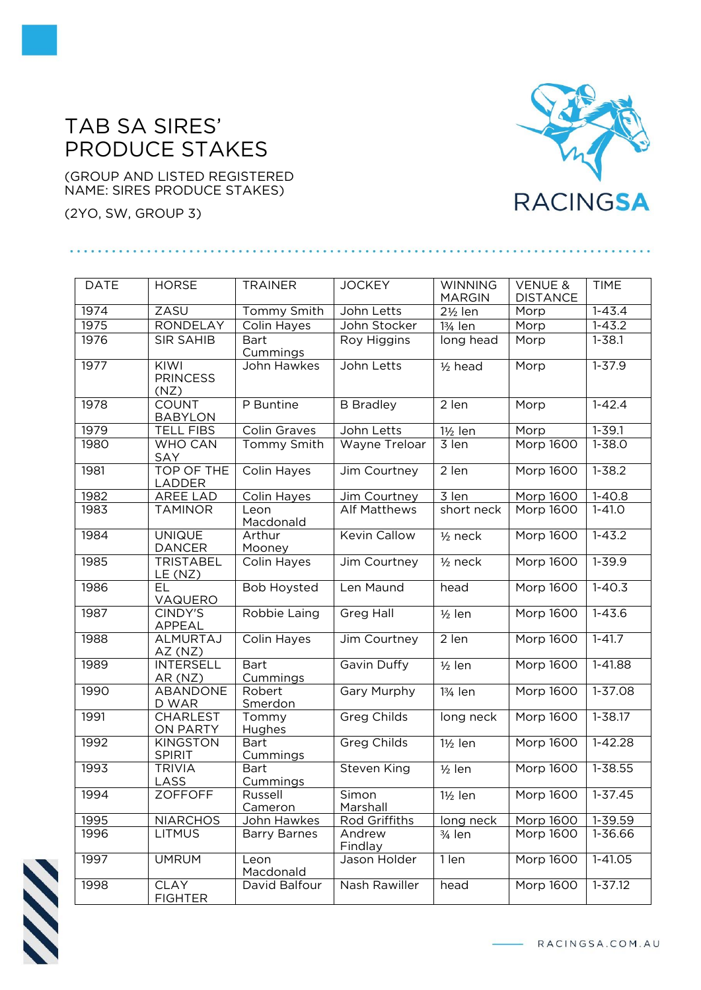## TAB SA SIRES' PRODUCE STAKES

(GROUP AND LISTED REGISTERED NAME: SIRES PRODUCE STAKES)

(2YO, SW, GROUP 3)

## **RACINGSA**

| <b>DATE</b> | <b>HORSE</b>                     | <b>TRAINER</b>                 | <b>JOCKEY</b>       | <b>WINNING</b>       | <b>VENUE &amp;</b> | <b>TIME</b> |
|-------------|----------------------------------|--------------------------------|---------------------|----------------------|--------------------|-------------|
|             |                                  |                                |                     | <b>MARGIN</b>        | <b>DISTANCE</b>    |             |
| 1974        | ZASU                             | Tommy Smith                    | John Letts          | 2½ len               | Morp               | $1 - 43.4$  |
| 1975        | <b>RONDELAY</b>                  | Colin Hayes                    | John Stocker        | 13/ <sub>4</sub> len | Morp               | $1 - 43.2$  |
| 1976        | <b>SIR SAHIB</b>                 | <b>Bart</b><br>Cummings        | Roy Higgins         | long head            | Morp               | $1 - 38.1$  |
| 1977        | KIWI<br><b>PRINCESS</b><br>(NZ)  | John Hawkes                    | John Letts          | $1/2$ head           | Morp               | $1 - 37.9$  |
| 1978        | <b>COUNT</b><br><b>BABYLON</b>   | P Buntine                      | <b>B</b> Bradley    | 2 len                | Morp               | $1 - 42.4$  |
| 1979        | <b>TELL FIBS</b>                 | <b>Colin Graves</b>            | John Letts          | $1\frac{1}{2}$ len   | Morp               | $1 - 39.1$  |
| 1980        | <b>WHO CAN</b><br>SAY            | Tommy Smith                    | Wayne Treloar       | 3 len                | Morp 1600          | $1 - 38.0$  |
| 1981        | <b>TOP OF THE</b><br>LADDER      | Colin Hayes                    | Jim Courtney        | 2 len                | Morp 1600          | $1 - 38.2$  |
| 1982        | AREE LAD                         | Colin Hayes                    | Jim Courtney        | 3 len                | Morp 1600          | $1 - 40.8$  |
| 1983        | <b>TAMINOR</b>                   | Leon<br>Macdonald              | <b>Alf Matthews</b> | short neck           | Morp 1600          | $1 - 41.0$  |
| 1984        | <b>UNIQUE</b><br><b>DANCER</b>   | Arthur<br>Mooney               | <b>Kevin Callow</b> | $1/2$ neck           | Morp 1600          | $1 - 43.2$  |
| 1985        | <b>TRISTABEL</b><br>LE (NZ)      | Colin Hayes                    | Jim Courtney        | $1/2$ neck           | Morp 1600          | $1 - 39.9$  |
| 1986        | EL<br>VAQUERO                    | <b>Bob Hoysted</b>             | Len Maund           | head                 | Morp 1600          | $1 - 40.3$  |
| 1987        | CINDY'S<br>APPEAL                | Robbie Laing                   | <b>Greg Hall</b>    | $1/2$ len            | Morp 1600          | $1 - 43.6$  |
| 1988        | <b>ALMURTAJ</b><br>AZ(NZ)        | Colin Hayes                    | Jim Courtney        | $2$ len              | Morp 1600          | $1 - 41.7$  |
| 1989        | <b>INTERSELL</b><br>AR (NZ)      | <b>Bart</b><br>Cummings        | Gavin Duffy         | $1/2$ len            | Morp 1600          | $1 - 41.88$ |
| 1990        | ABANDONE<br>D WAR                | Robert<br>Smerdon              | Gary Murphy         | 13/ <sub>4</sub> len | Morp 1600          | 1-37.08     |
| 1991        | <b>CHARLEST</b><br>ON PARTY      | Tommy<br>Hughes                | <b>Greg Childs</b>  | long neck            | Morp 1600          | $1 - 38.17$ |
| 1992        | <b>KINGSTON</b><br><b>SPIRIT</b> | <b>Bart</b><br><b>Cummings</b> | <b>Greg Childs</b>  | $1\frac{1}{2}$ len   | Morp 1600          | $1 - 42.28$ |
| 1993        | <b>TRIVIA</b><br>LASS            | <b>Bart</b><br>Cummings        | <b>Steven King</b>  | $1/2$ len            | Morp 1600          | 1-38.55     |
| 1994        | <b>ZOFFOFF</b>                   | Russell<br>Cameron             | Simon<br>Marshall   | $1\frac{1}{2}$ len   | Morp 1600          | $1-37.45$   |
| 1995        | <b>NIARCHOS</b>                  | John Hawkes                    | Rod Griffiths       | long neck            | Morp 1600          | 1-39.59     |
| 1996        | <b>LITMUS</b>                    | <b>Barry Barnes</b>            | Andrew<br>Findlay   | $\frac{3}{4}$ len    | Morp 1600          | 1-36.66     |
| 1997        | <b>UMRUM</b>                     | Leon<br>Macdonald              | Jason Holder        | 1 len                | <b>Morp 1600</b>   | $1-41.05$   |
| 1998        | <b>CLAY</b><br><b>FIGHTER</b>    | David Balfour                  | Nash Rawiller       | head                 | Morp 1600          | $1 - 37.12$ |



- RACINGSA.COM.AU